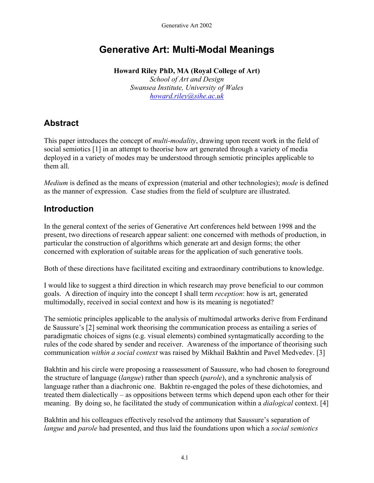# **Generative Art: Multi-Modal Meanings**

**Howard Riley PhD, MA (Royal College of Art)**  *School of Art and Design Swansea Institute, University of Wales [howard.riley@sihe.ac.uk](mailto:howard.riley@sihe.ac.uk)*

# **Abstract**

This paper introduces the concept of *multi-modality*, drawing upon recent work in the field of social semiotics [1] in an attempt to theorise how art generated through a variety of media deployed in a variety of modes may be understood through semiotic principles applicable to them all.

*Medium* is defined as the means of expression (material and other technologies); *mode* is defined as the manner of expression. Case studies from the field of sculpture are illustrated.

### **Introduction**

In the general context of the series of Generative Art conferences held between 1998 and the present, two directions of research appear salient: one concerned with methods of production, in particular the construction of algorithms which generate art and design forms; the other concerned with exploration of suitable areas for the application of such generative tools.

Both of these directions have facilitated exciting and extraordinary contributions to knowledge.

I would like to suggest a third direction in which research may prove beneficial to our common goals. A direction of inquiry into the concept I shall term *reception*: how is art, generated multimodally, received in social context and how is its meaning is negotiated?

The semiotic principles applicable to the analysis of multimodal artworks derive from Ferdinand de Saussure's [2] seminal work theorising the communication process as entailing a series of paradigmatic choices of signs (e.g. visual elements) combined syntagmatically according to the rules of the code shared by sender and receiver. Awareness of the importance of theorising such communication *within a social context* was raised by Mikhail Bakhtin and Pavel Medvedev. [3]

Bakhtin and his circle were proposing a reassessment of Saussure, who had chosen to foreground the structure of language (*langue*) rather than speech (*parole*), and a synchronic analysis of language rather than a diachronic one. Bakhtin re-engaged the poles of these dichotomies, and treated them dialectically – as oppositions between terms which depend upon each other for their meaning. By doing so, he facilitated the study of communication within a *dialogical* context. [4]

Bakhtin and his colleagues effectively resolved the antimony that Saussure's separation of *langue* and *parole* had presented, and thus laid the foundations upon which a *social semiotics*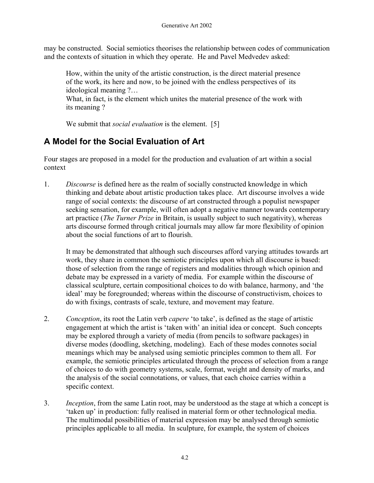may be constructed. Social semiotics theorises the relationship between codes of communication and the contexts of situation in which they operate. He and Pavel Medvedev asked:

How, within the unity of the artistic construction, is the direct material presence of the work, its here and now, to be joined with the endless perspectives of its ideological meaning ?…

What, in fact, is the element which unites the material presence of the work with its meaning ?

We submit that *social evaluation* is the element. [5]

# **A Model for the Social Evaluation of Art**

Four stages are proposed in a model for the production and evaluation of art within a social context

1. *Discourse* is defined here as the realm of socially constructed knowledge in which thinking and debate about artistic production takes place. Art discourse involves a wide range of social contexts: the discourse of art constructed through a populist newspaper seeking sensation, for example, will often adopt a negative manner towards contemporary art practice (*The Turner Prize* in Britain, is usually subject to such negativity), whereas arts discourse formed through critical journals may allow far more flexibility of opinion about the social functions of art to flourish.

It may be demonstrated that although such discourses afford varying attitudes towards art work, they share in common the semiotic principles upon which all discourse is based: those of selection from the range of registers and modalities through which opinion and debate may be expressed in a variety of media. For example within the discourse of classical sculpture, certain compositional choices to do with balance, harmony, and 'the ideal' may be foregrounded; whereas within the discourse of constructivism, choices to do with fixings, contrasts of scale, texture, and movement may feature.

- 2. *Conception*, its root the Latin verb *capere* 'to take', is defined as the stage of artistic engagement at which the artist is 'taken with' an initial idea or concept. Such concepts may be explored through a variety of media (from pencils to software packages) in diverse modes (doodling, sketching, modeling). Each of these modes connotes social meanings which may be analysed using semiotic principles common to them all. For example, the semiotic principles articulated through the process of selection from a range of choices to do with geometry systems, scale, format, weight and density of marks, and the analysis of the social connotations, or values, that each choice carries within a specific context.
- 3. *Inception*, from the same Latin root, may be understood as the stage at which a concept is 'taken up' in production: fully realised in material form or other technological media. The multimodal possibilities of material expression may be analysed through semiotic principles applicable to all media. In sculpture, for example, the system of choices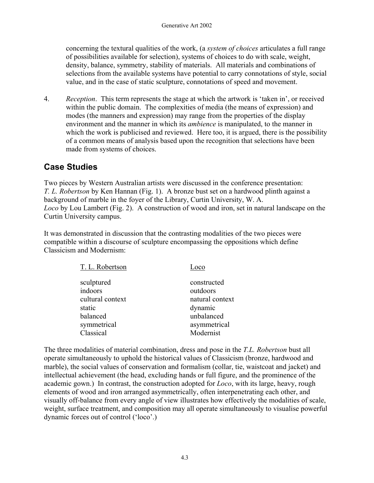concerning the textural qualities of the work, (a *system of choices* articulates a full range of possibilities available for selection), systems of choices to do with scale, weight, density, balance, symmetry, stability of materials. All materials and combinations of selections from the available systems have potential to carry connotations of style, social value, and in the case of static sculpture, connotations of speed and movement.

4. *Reception*. This term represents the stage at which the artwork is 'taken in', or received within the public domain. The complexities of media (the means of expression) and modes (the manners and expression) may range from the properties of the display environment and the manner in which its *ambience* is manipulated, to the manner in which the work is publicised and reviewed. Here too, it is argued, there is the possibility of a common means of analysis based upon the recognition that selections have been made from systems of choices.

### **Case Studies**

Two pieces by Western Australian artists were discussed in the conference presentation: *T. L. Robertson* by Ken Hannan (Fig. 1). A bronze bust set on a hardwood plinth against a background of marble in the foyer of the Library, Curtin University, W. A. *Loco* by Lou Lambert (Fig. 2). A construction of wood and iron, set in natural landscape on the Curtin University campus.

It was demonstrated in discussion that the contrasting modalities of the two pieces were compatible within a discourse of sculpture encompassing the oppositions which define Classicism and Modernism:

| T. L. Robertson  | Loco            |
|------------------|-----------------|
| sculptured       | constructed     |
| indoors          | outdoors        |
| cultural context | natural context |
| static           | dynamic         |
| balanced         | unbalanced      |
| symmetrical      | asymmetrical    |
| Classical        | Modernist       |

The three modalities of material combination, dress and pose in the *T.L. Robertson* bust all operate simultaneously to uphold the historical values of Classicism (bronze, hardwood and marble), the social values of conservation and formalism (collar, tie, waistcoat and jacket) and intellectual achievement (the head, excluding hands or full figure, and the prominence of the academic gown.) In contrast, the construction adopted for *Loco*, with its large, heavy, rough elements of wood and iron arranged asymmetrically, often interpenetrating each other, and visually off-balance from every angle of view illustrates how effectively the modalities of scale, weight, surface treatment, and composition may all operate simultaneously to visualise powerful dynamic forces out of control ('loco'.)